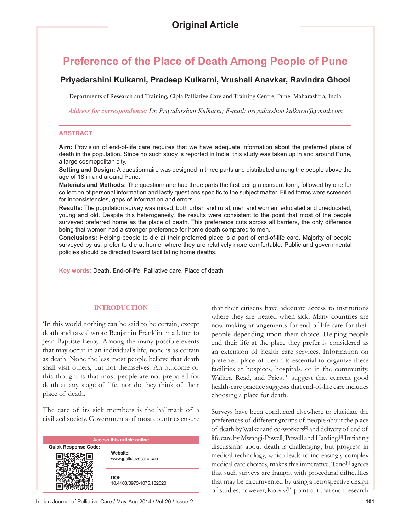# **Preference of the Place of Death Among People of Pune**

# **Priyadarshini Kulkarni, Pradeep Kulkarni, Vrushali Anavkar, Ravindra Ghooi**

Departments of Research and Training, Cipla Palliative Care and Training Centre, Pune, Maharashtra, India

*Address for correspondence: Dr. Priyadarshini Kulkarni; E-mail: priyadarshini.kulkarni@gmail.com*

### **ABSTRACT**

**Aim:** Provision of end-of-life care requires that we have adequate information about the preferred place of death in the population. Since no such study is reported in India, this study was taken up in and around Pune, a large cosmopolitan city.

**Setting and Design:** A questionnaire was designed in three parts and distributed among the people above the age of 18 in and around Pune.

Materials and Methods: The questionnaire had three parts the first being a consent form, followed by one for collection of personal information and lastly questions specific to the subject matter. Filled forms were screened for inconsistencies, gaps of information and errors.

**Results:** The population survey was mixed, both urban and rural, men and women, educated and uneducated, young and old. Despite this heterogeneity, the results were consistent to the point that most of the people surveyed preferred home as the place of death. This preference cuts across all barriers, the only difference being that women had a stronger preference for home death compared to men.

**Conclusions:** Helping people to die at their preferred place is a part of end-of-life care. Majority of people surveyed by us, prefer to die at home, where they are relatively more comfortable. Public and governmental policies should be directed toward facilitating home deaths.

**Key words:** Death, End-of-life, Palliative care, Place of death

## **INTRODUCTION**

'In this world nothing can be said to be certain, except death and taxes' wrote Benjamin Franklin in a letter to Jean-Baptiste Leroy. Among the many possible events that may occur in an individual's life, none is as certain as death. None the less most people believe that death shall visit others, but not themselves. An outcome of this thought is that most people are not prepared for death at any stage of life, nor do they think of their place of death.

The care of its sick members is the hallmark of a civilized society. Governments of most countries ensure

| <b>Access this article online</b> |                                     |  |  |  |
|-----------------------------------|-------------------------------------|--|--|--|
| <b>Quick Response Code:</b>       | Website:<br>www.jpalliativecare.com |  |  |  |
|                                   | DOI:<br>10.4103/0973-1075.132620    |  |  |  |

that their citizens have adequate access to institutions where they are treated when sick. Many countries are now making arrangements for end-of-life care for their people depending upon their choice. Helping people end their life at the place they prefer is considered as an extension of health care services. Information on preferred place of death is essential to organize these facilities at hospices, hospitals, or in the community. Walker, Read, and Priest<sup>[1]</sup> suggest that current good health-care practice suggests that end-of-life care includes choosing a place for death.

Surveys have been conducted elsewhere to elucidate the preferences of different groups of people about the place of death by Walker and co-workers<sup>[2]</sup> and delivery of end of life care by Mwangi-Powell, Powell and Harding.[3] Initiating discussions about death is challenging, but progress in medical technology, which leads to increasingly complex medical care choices, makes this imperative. Teno[4] agrees that such surveys are fraught with procedural difficulties that may be circumvented by using a retrospective design of studies; however, Ko *et al*. [5] point out that such research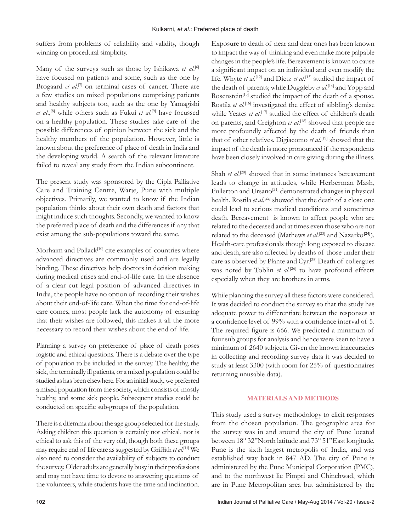suffers from problems of reliability and validity, though winning on procedural simplicity.

Many of the surveys such as those by Ishikawa et al.<sup>[6]</sup> have focused on patients and some, such as the one by Brogaard *et al.*<sup>[7]</sup> on terminal cases of cancer. There are a few studies on mixed populations comprising patients and healthy subjects too, such as the one by Yamagishi *et al*.,[8] while others such as Fukui *et al*. [9] have focussed on a healthy population. These studies take care of the possible differences of opinion between the sick and the healthy members of the population. However, little is known about the preference of place of death in India and the developing world. A search of the relevant literature failed to reveal any study from the Indian subcontinent.

The present study was sponsored by the Cipla Palliative Care and Training Centre, Warje, Pune with multiple objectives. Primarily, we wanted to know if the Indian population thinks about their own death and factors that might induce such thoughts. Secondly, we wanted to know the preferred place of death and the differences if any that exist among the sub-populations toward the same.

Morhaim and Pollack<sup>[10]</sup> cite examples of countries where advanced directives are commonly used and are legally binding. These directives help doctors in decision making during medical crises and end-of-life care. In the absence of a clear cut legal position of advanced directives in India, the people have no option of recording their wishes about their end-of-life care. When the time for end-of-life care comes, most people lack the autonomy of ensuring that their wishes are followed, this makes it all the more necessary to record their wishes about the end of life.

Planning a survey on preference of place of death poses logistic and ethical questions. There is a debate over the type of population to be included in the survey. The healthy, the sick, the terminally ill patients, or a mixed population could be studied as has been elsewhere. For an initial study, we preferred a mixed population from the society, which consists of mostly healthy, and some sick people. Subsequent studies could be conducted on specific sub-groups of the population.

There is a dilemma about the age group selected for the study. Asking children this question is certainly not ethical, nor is ethical to ask this of the very old, though both these groups may require end of life care as suggested by Griffith *et al.*<sup>[11]</sup> We also need to consider the availability of subjects to conduct the survey. Older adults are generally busy in their professions and may not have time to devote to answering questions of the volunteers, while students have the time and inclination.

Exposure to death of near and dear ones has been known to impact the way of thinking and even make more palpable changes in the people's life. Bereavement is known to cause a significant impact on an individual and even modify the life. Whyte *et al.*<sup>[12]</sup> and Dietz *et al.*<sup>[13]</sup> studied the impact of the death of parents; while Duggleby *et al*. [14] and Yopp and Rosenstein<sup>[15]</sup> studied the impact of the death of a spouse. Rostila *et al.*[16] investigated the effect of sibbling's demise while Yeates *et al*. [17] studied the effect of children's death on parents, and Creighton *et al*. [18] showed that people are more profoundly affected by the death of friends than that of other relatives. Digiacomo *et al*. [19] showed that the impact of the death is more pronounced if the respondents have been closely involved in care giving during the illness.

Shah *et al.*<sup>[20]</sup> showed that in some instances bereavement leads to change in attitudes, while Herberman Mash, Fullerton and Ursano<sup>[21]</sup> demonstrated changes in physical health. Rostila *et al.*<sup>[22]</sup> showed that the death of a close one could lead to serious medical conditions and sometimes death. Bereavement is known to affect people who are related to the deceased and at times even those who are not related to the deceased (Mathews *et al*. [23] and Nazarko**[24]**). Health-care professionals though long exposed to disease and death, are also affected by deaths of those under their care as observed by Plante and Cyr.[25] Death of colleagues was noted by Toblin *et al.*<sup>[26]</sup> to have profound effects especially when they are brothers in arms.

While planning the survey all these factors were considered. It was decided to conduct the survey so that the study has adequate power to differentiate between the responses at a confidence level of 99% with a confidence interval of 5. The required figure is 666. We predicted a minimum of four sub groups for analysis and hence were keen to have a minimum of 2640 subjects. Given the known inaccuracies in collecting and recording survey data it was decided to study at least 3300 (with room for 25% of questionnaires returning unusable data).

## **MATERIALS AND METHODS**

This study used a survey methodology to elicit responses from the chosen population. The geographic area for the survey was in and around the city of Pune located between 18° 32"North latitude and 73° 51"East longitude. Pune is the sixth largest metropolis of India, and was established way back in 847 AD. The city of Pune is administered by the Pune Municipal Corporation (PMC), and to the northwest lie Pimpri and Chinchwad, which are in Pune Metropolitan area but administered by the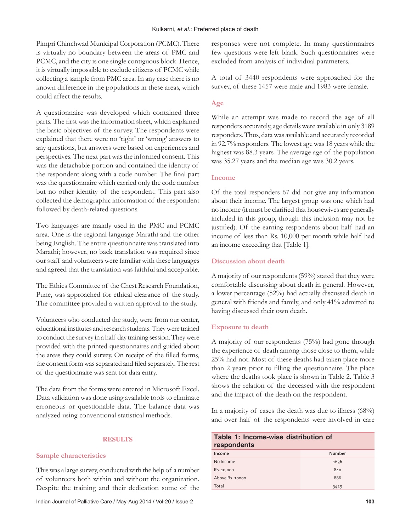Pimpri Chinchwad Municipal Corporation (PCMC). There is virtually no boundary between the areas of PMC and PCMC, and the city is one single contiguous block. Hence, it is virtually impossible to exclude citizens of PCMC while collecting a sample from PMC area. In any case there is no known difference in the populations in these areas, which could affect the results.

A questionnaire was developed which contained three parts. The first was the information sheet, which explained the basic objectives of the survey. The respondents were explained that there were no 'right' or 'wrong' answers to any questions, but answers were based on experiences and perspectives. The next part was the informed consent. This was the detachable portion and contained the identity of the respondent along with a code number. The final part was the questionnaire which carried only the code number but no other identity of the respondent. This part also collected the demographic information of the respondent followed by death-related questions.

Two languages are mainly used in the PMC and PCMC area. One is the regional language Marathi and the other being English. The entire questionnaire was translated into Marathi; however, no back translation was required since our staff and volunteers were familiar with these languages and agreed that the translation was faithful and acceptable.

The Ethics Committee of the Chest Research Foundation, Pune, was approached for ethical clearance of the study. The committee provided a written approval to the study.

Volunteers who conducted the study, were from our center, educational institutes and research students. They were trained to conduct the survey in a half day training session. They were provided with the printed questionnaires and guided about the areas they could survey. On receipt of the filled forms, the consent form was separated and filed separately. The rest of the questionnaire was sent for data entry.

The data from the forms were entered in Microsoft Excel. Data validation was done using available tools to eliminate erroneous or questionable data. The balance data was analyzed using conventional statistical methods.

## **RESULTS**

## **Sample characteristics**

This was a large survey, conducted with the help of a number of volunteers both within and without the organization. Despite the training and their dedication some of the responses were not complete. In many questionnaires few questions were left blank. Such questionnaires were excluded from analysis of individual parameters.

A total of 3440 respondents were approached for the survey, of these 1457 were male and 1983 were female.

## **Age**

While an attempt was made to record the age of all responders accurately, age details were available in only 3189 responders. Thus, data was available and accurately recorded in 92.7% responders. The lowest age was 18 years while the highest was 88.3 years. The average age of the population was 35.27 years and the median age was 30.2 years.

## **Income**

Of the total responders 67 did not give any information about their income. The largest group was one which had no income (it must be clarified that housewives are generally included in this group, though this inclusion may not be justified). Of the earning respondents about half had an income of less than Rs. 10,000 per month while half had an income exceeding that [Table 1].

## **Discussion about death**

A majority of our respondents (59%) stated that they were comfortable discussing about death in general. However, a lower percentage (52%) had actually discussed death in general with friends and family, and only 41% admitted to having discussed their own death.

#### **Exposure to death**

A majority of our respondents (75%) had gone through the experience of death among those close to them, while 25% had not. Most of these deaths had taken place more than 2 years prior to filling the questionnaire. The place where the deaths took place is shown in Table 2. Table 3 shows the relation of the deceased with the respondent and the impact of the death on the respondent.

In a majority of cases the death was due to illness (68%) and over half of the respondents were involved in care

| Table 1: Income-wise distribution of<br>respondents |        |  |  |
|-----------------------------------------------------|--------|--|--|
| Income                                              | Number |  |  |
| No Income                                           | 1636   |  |  |
| Rs. 10,000                                          | 840    |  |  |
| Above Rs. 10000                                     | 886    |  |  |
| Total                                               | 3429   |  |  |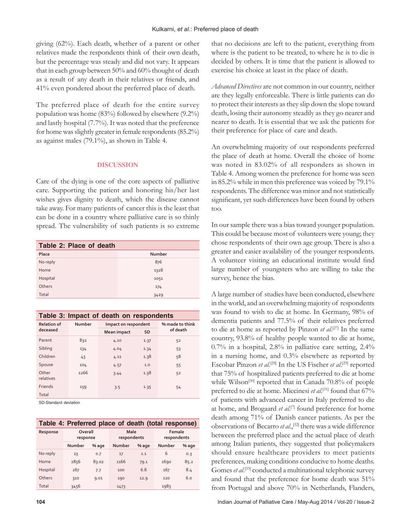giving (62%). Each death, whether of a parent or other relatives made the respondents think of their own death, but the percentage was steady and did not vary. It appears that in each group between 50% and 60% thought of death as a result of any death in their relatives or friends, and 41% even pondered about the preferred place of death.

The preferred place of death for the entire survey population was home (83%) followed by elsewhere (9.2%) and lastly hospital (7.7%). It was noted that the preference for home was slightly greater in female respondents (85.2%) as against males (79.1%), as shown in Table 4.

### **DISCUSSION**

Care of the dying is one of the core aspects of palliative care. Supporting the patient and honoring his/her last wishes gives dignity to death, which the disease cannot take away. For many patients of cancer this is the least that can be done in a country where palliative care is so thinly spread. The vulnerability of such patients is so extreme

| Table 2: Place of death |        |  |  |  |
|-------------------------|--------|--|--|--|
| Place                   | Number |  |  |  |
| No reply                | 876    |  |  |  |
| Home                    | 1328   |  |  |  |
| Hospital                | 1051   |  |  |  |
| Others                  | 174    |  |  |  |
| Total                   | 3429   |  |  |  |

| Table 3: Impact of death on respondents |        |                          |                             |    |  |  |
|-----------------------------------------|--------|--------------------------|-----------------------------|----|--|--|
| <b>Relation of</b>                      | Number | Impact on respondent     | % made to think<br>of death |    |  |  |
| deceased                                |        | <b>SD</b><br>Mean impact |                             |    |  |  |
| Parent                                  | 832    | 4.10                     | 1.37                        | 52 |  |  |
| Sibling                                 | 134    | 4.04                     | 1.34                        | 53 |  |  |
| Children                                | 43     | 4.11                     | 1.38                        | 58 |  |  |
| Spouse                                  | 104    | 4.57                     | 1.0                         | 55 |  |  |
| Other<br>relatives                      | 1266   | 3.44                     | 1.38                        | 52 |  |  |
| <b>Friends</b>                          | 159    | 3.5                      | 1.35                        | 54 |  |  |
| Total                                   |        |                          |                             |    |  |  |

SD-Standard deviation

| Table 4: Preferred place of death (total response) |
|----------------------------------------------------|
|----------------------------------------------------|

| Response | Overall<br>response |       | Male<br>respondents |       | Female<br>respondents |       |
|----------|---------------------|-------|---------------------|-------|-----------------------|-------|
|          | Number              | % age | Number              | % age | Number                | % age |
| No reply | 23                  | 0.7   | 17                  | 1.1   | 6                     | 0.3   |
| Home     | 2856                | 83.02 | 1166                | 79.1  | 1690                  | 85.2  |
| Hospital | 267                 | 7.7   | 100                 | 6.8   | 167                   | 8.4   |
| Others   | 310                 | 9.01  | 190                 | 12.9  | 120                   | 6.0   |
| Total    | 3456                |       | 1473                |       | 1983                  |       |

that no decisions are left to the patient, everything from where is the patient to be treated, to where he is to die is decided by others. It is time that the patient is allowed to exercise his choice at least in the place of death.

*Advanced Directives* are not common in our country, neither are they legally enforceable. There is little patients can do to protect their interests as they slip down the slope toward death, losing their autonomy steadily as they go nearer and nearer to death. It is essential that we ask the patients for their preference for place of care and death.

An overwhelming majority of our respondents preferred the place of death at home. Overall the choice of home was noted in 83.02% of all responders as shown in Table 4. Among women the preference for home was seen in 85.2% while in men this preference was voiced by 79.1% respondents. The difference was minor and not statistically significant, yet such differences have been found by others too.

In our sample there was a bias toward younger population. This could be because most of volunteers were young; they chose respondents of their own age group. There is also a greater and easier availability of the younger respondents. A volunteer visiting an educational institute would find large number of youngsters who are willing to take the survey, hence the bias.

A large number of studies have been conducted, elsewhere in the world, and an overwhelming majority of respondents was found to wish to die at home. In Germany, 98% of dementia patients and 77.5% of their relatives preferred to die at home as reported by Pinzon *et al*. [27] In the same country, 93.8% of healthy people wanted to die at home, 0.7% in a hospital, 2.8% in palliative care setting, 2.4% in a nursing home, and 0.3% elsewhere as reported by Escobar Pinzon *et al*. [28] In the US Fischer *et al*. [29] reported that 75% of hospitalized patients preferred to die at home while Wilson<sup>[30]</sup> reported that in Canada 70.8% of people preferred to die at home. Miccinesi *et al*. [31] found that 67% of patients with advanced cancer in Italy preferred to die at home, and Brogaard *et al.*<sup>[7]</sup> found preference for home death among 71% of Danish cancer patients. As per the observations of Becarro *et al.*,<sup>[32]</sup> there was a wide difference between the preferred place and the actual place of death among Italian patients, they suggested that policymakers should ensure healthcare providers to meet patients preferences, making conditions conducive to home deaths. Gomes et al.<sup>[33]</sup> conducted a multinational telephonic survey and found that the preference for home death was 51% from Portugal and above 70% in Netherlands, Flanders,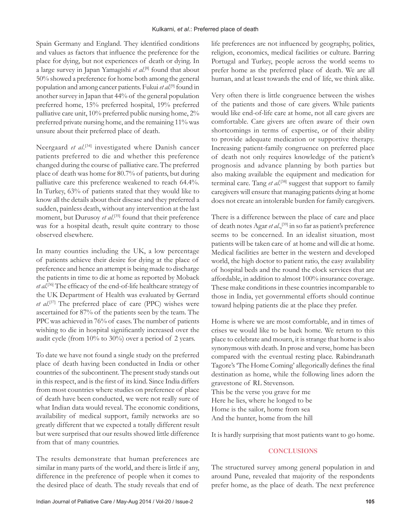Spain Germany and England. They identified conditions and values as factors that influence the preference for the place for dying, but not experiences of death or dying. In a large survey in Japan Yamagishi *et al*. [8] found that about 50% showed a preference for home both among the general population and among cancer patients. Fukui *et al*. [9] found in another survey in Japan that 44% of the general population preferred home, 15% preferred hospital, 19% preferred palliative care unit, 10% preferred public nursing home, 2% preferred private nursing home, and the remaining 11% was unsure about their preferred place of death.

Neergaard et al.<sup>[34]</sup> investigated where Danish cancer patients preferred to die and whether this preference changed during the course of palliative care. The preferred place of death was home for 80.7% of patients, but during palliative care this preference weakened to reach 64.4%. In Turkey, 63% of patients stated that they would like to know all the details about their disease and they preferred a sudden, painless death, without any intervention at the last moment, but Durusoy *et al.*<sup>[35]</sup> found that their preference was for a hospital death, result quite contrary to those observed elsewhere.

In many counties including the UK, a low percentage of patients achieve their desire for dying at the place of preference and hence an attempt is being made to discharge the patients in time to die at home as reported by Moback et al.<sup>[36]</sup> The efficacy of the end-of-life healthcare strategy of the UK Department of Health was evaluated by Gerrard et al.<sup>[37]</sup> The preferred place of care (PPC) wishes were ascertained for 87% of the patients seen by the team. The PPC was achieved in 76% of cases. The number of patients wishing to die in hospital significantly increased over the audit cycle (from 10% to 30%) over a period of 2 years.

To date we have not found a single study on the preferred place of death having been conducted in India or other countries of the subcontinent. The present study stands out in this respect, and is the first of its kind. Since India differs from most countries where studies on preference of place of death have been conducted, we were not really sure of what Indian data would reveal. The economic conditions, availability of medical support, family networks are so greatly different that we expected a totally different result but were surprised that our results showed little difference from that of many countries.

The results demonstrate that human preferences are similar in many parts of the world, and there is little if any, difference in the preference of people when it comes to the desired place of death. The study reveals that end of life preferences are not influenced by geography, politics, religion, economics, medical facilities or culture. Barring Portugal and Turkey, people across the world seems to prefer home as the preferred place of death. We are all human, and at least towards the end of life, we think alike.

Very often there is little congruence between the wishes of the patients and those of care givers. While patients would like end-of-life care at home, not all care givers are comfortable. Care givers are often aware of their own shortcomings in terms of expertise, or of their ability to provide adequate medication or supportive therapy. Increasing patient-family congruence on preferred place of death not only requires knowledge of the patient's prognosis and advance planning by both parties but also making available the equipment and medication for terminal care. Tang *et al*.<sup>[38]</sup> suggest that support to family caregivers will ensure that managing patients dying at home does not create an intolerable burden for family caregivers.

There is a difference between the place of care and place of death notes Agar *et al*.,[39] in so far as patient's preference seems to be concerned. In an idealist situation, most patients will be taken care of at home and will die at home. Medical facilities are better in the western and developed world, the high doctor to patient ratio, the easy availability of hospital beds and the round the clock services that are affordable, in addition to almost 100% insurance coverage. These make conditions in these countries incomparable to those in India, yet governmental efforts should continue toward helping patients die at the place they prefer.

Home is where we are most comfortable, and in times of crises we would like to be back home. We return to this place to celebrate and mourn, it is strange that home is also synonymous with death. In prose and verse, home has been compared with the eventual resting place. Rabindranath Tagore's 'The Home Coming' allegorically defines the final destination as home, while the following lines adorn the gravestone of RL Stevenson. This be the verse you grave for me Here he lies, where he longed to be Home is the sailor, home from sea

And the hunter, home from the hill

It is hardly surprising that most patients want to go home.

## **CONCLUSIONS**

The structured survey among general population in and around Pune, revealed that majority of the respondents prefer home, as the place of death. The next preference